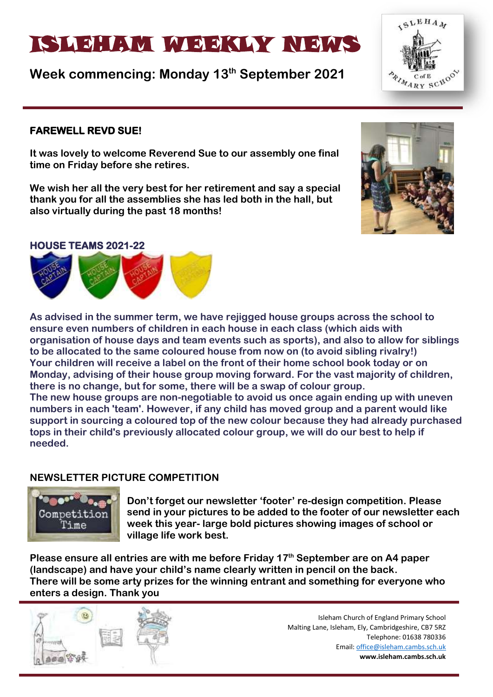# ISLAM WEEKLYNEIN WATER

**Week commencing: Monday 13th September 2021**

### **FAREWELL REVD SUE!**

**It was lovely to welcome Reverend Sue to our assembly one final time on Friday before she retires.** 

**We wish her all the very best for her retirement and say a special thank you for all the assemblies she has led both in the hall, but also virtually during the past 18 months!**



#### **HOUSE TEAMS 2021-22**



**As advised in the summer term, we have rejigged house groups across the school to ensure even numbers of children in each house in each class (which aids with organisation of house days and team events such as sports), and also to allow for siblings to be allocated to the same coloured house from now on (to avoid sibling rivalry!) Your children will receive a label on the front of their home school book today or on Monday, advising of their house group moving forward. For the vast majority of children, there is no change, but for some, there will be a swap of colour group. The new house groups are non-negotiable to avoid us once again ending up with uneven numbers in each 'team'. However, if any child has moved group and a parent would like support in sourcing a coloured top of the new colour because they had already purchased tops in their child's previously allocated colour group, we will do our best to help if needed.**

# **NEWSLETTER PICTURE COMPETITION**



**Don't forget our newsletter 'footer' re-design competition. Please send in your pictures to be added to the footer of our newsletter each week this year- large bold pictures showing images of school or village life work best.**

**Please ensure all entries are with me before Friday 17th September are on A4 paper (landscape) and have your child's name clearly written in pencil on the back. There will be some arty prizes for the winning entrant and something for everyone who enters a design. Thank you** 



Isleham Church of England Primary School Malting Lane, Isleham, Ely, Cambridgeshire, CB7 5RZ Telephone: 01638 780336 Email[: office@isleham.cambs.sch.uk](mailto:office@isleham.cambs.sch.uk) **www.isleham.cambs.sch.uk**

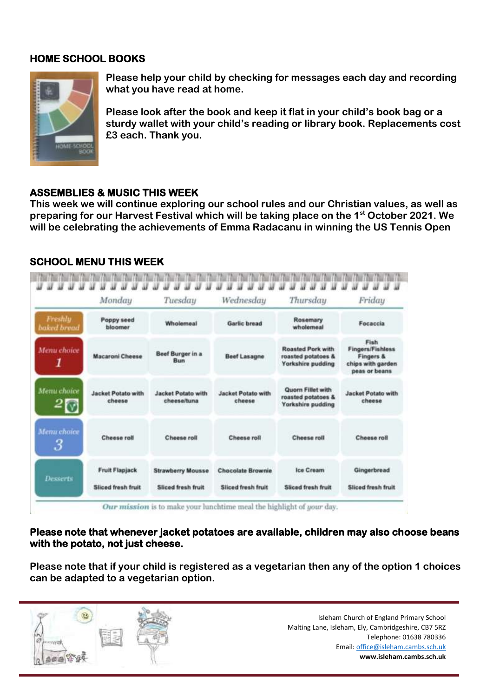### **HOME SCHOOL BOOKS**



**Please help your child by checking for messages each day and recording what you have read at home.** 

**Please look after the book and keep it flat in your child's book bag or a sturdy wallet with your child's reading or library book. Replacements cost £3 each. Thank you.** 

### **ASSEMBLIES & MUSIC THIS WEEK**

**This week we will continue exploring our school rules and our Christian values, as well as preparing for our Harvest Festival which will be taking place on the 1st October 2021. We will be celebrating the achievements of Emma Radacanu in winning the US Tennis Open**

#### and the Chearty Chearty Chearty Chearty Chearty Chearty Chearty Chearty Chearty Chearty Chearty Chearty Chearty Chearty Chearty . . . . . . . . . . . . . . . . . . . . . . . . . . . . . . . . . . *<u>WWWW</u>* M Monday Tuesday Wednesday Thursday Friday Freshly Poppy seed Rosemary Wholemeal **Garlic bread** Focaccia baked bread bloomer wholemeal Fish **Roasted Pork with Fingers/Fishless** Menu choice Beef Burger in a **Macaroni Cheese Beef Lasagne** roasted potatoes & **Fingers &** Bun 1 chips with garden Yorkshire pudding peas or beans Menu choice Quom Fillet with **Jacket Potato with Jacket Potato with Jacket Potato with Jacket Potato with** roasted potatoes & cheese cheeseltuna cheese cheese Yorkshire pudding Menu choice Cheese roll Cheese roll Cheese roll Cheese roll Cheese roll З **Fruit Flapiack** Gingerbread Ice Cream **Strawberry Mousse Chocolate Brownie Desserts** Stinget fronts fruit Sliced fresh fruit Sliced fresh fruit Sliced fresh fruit Sliced fresh fruit Our mission is to make your lunchtime meal the highlight of your day.

#### **SCHOOL MENU THIS WEEK**

**Please note that whenever jacket potatoes are available, children may also choose beans with the potato, not just cheese.**

**Please note that if your child is registered as a vegetarian then any of the option 1 choices can be adapted to a vegetarian option.**

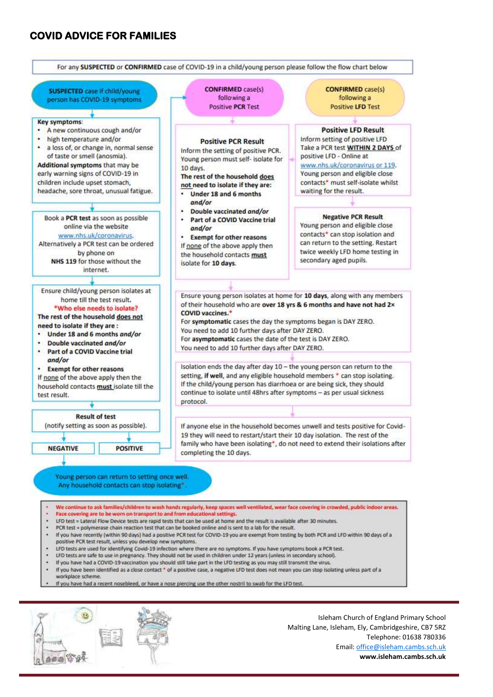#### **COVID ADVICE FOR FAMILIES**

dia dia d



Malting Lane, Isleham, Ely, Cambridgeshire, CB7 5RZ Telephone: 01638 780336 Email[: office@isleham.cambs.sch.uk](mailto:office@isleham.cambs.sch.uk) **www.isleham.cambs.sch.uk**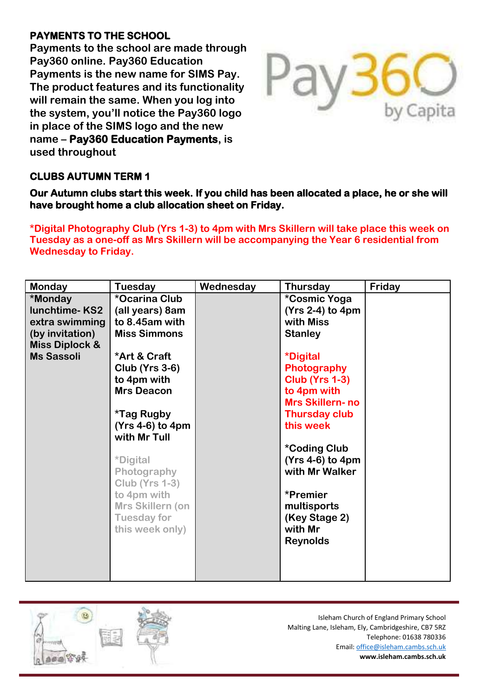# **PAYMENTS TO THE SCHOOL**

**Payments to the school are made through Pay360 online. Pay360 Education Payments is the new name for SIMS Pay. The product features and its functionality will remain the same. When you log into the system, you'll notice the Pay360 logo in place of the SIMS logo and the new name – Pay360 Education Payments, is used throughout** 



# **CLUBS AUTUMN TERM 1**

**Our Autumn clubs start this week. If you child has been allocated a place, he or she will have brought home a club allocation sheet on Friday.** 

**\*Digital Photography Club (Yrs 1-3) to 4pm with Mrs Skillern will take place this week on Tuesday as a one-off as Mrs Skillern will be accompanying the Year 6 residential from Wednesday to Friday.**

| <b>Monday</b>                                                                                                          | Tuesday                                                                                                                                                                                                                                                                                                                                                                | Wednesday | <b>Thursday</b>                                                                                                                                                                                                                                                                                                                                            | Friday |
|------------------------------------------------------------------------------------------------------------------------|------------------------------------------------------------------------------------------------------------------------------------------------------------------------------------------------------------------------------------------------------------------------------------------------------------------------------------------------------------------------|-----------|------------------------------------------------------------------------------------------------------------------------------------------------------------------------------------------------------------------------------------------------------------------------------------------------------------------------------------------------------------|--------|
| *Monday<br><b>lunchtime-KS2</b><br>extra swimming<br>(by invitation)<br><b>Miss Diplock &amp;</b><br><b>Ms Sassoli</b> | *Ocarina Club<br>(all years) 8am<br>to 8.45am with<br><b>Miss Simmons</b><br>*Art & Craft<br><b>Club (Yrs 3-6)</b><br>to 4pm with<br><b>Mrs Deacon</b><br><i><b>*Tag Rugby</b></i><br>$(Yrs 4-6)$ to 4pm<br>with Mr Tull<br><i><b>*Digital</b></i><br>Photography<br><b>Club (Yrs 1-3)</b><br>to 4pm with<br>Mrs Skillern (on<br><b>Tuesday for</b><br>this week only) |           | *Cosmic Yoga<br>$(Yrs 2-4)$ to 4pm<br>with Miss<br><b>Stanley</b><br><i><b>*Digital</b></i><br>Photography<br><b>Club (Yrs 1-3)</b><br>to 4pm with<br><b>Mrs Skillern-no</b><br><b>Thursday club</b><br>this week<br><b>*Coding Club</b><br>$(Yrs 4-6)$ to 4pm<br>with Mr Walker<br>*Premier<br>multisports<br>(Key Stage 2)<br>with Mr<br><b>Reynolds</b> |        |